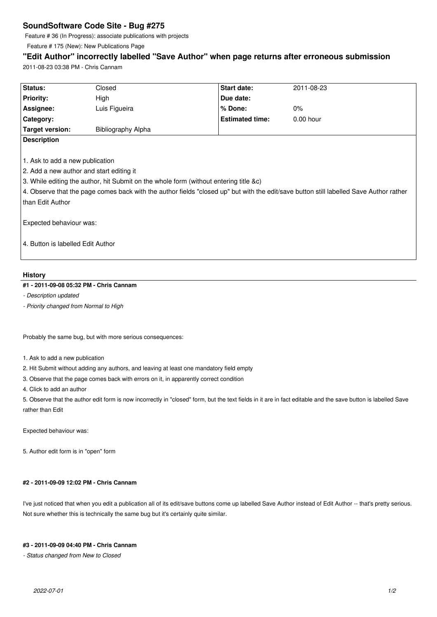# **SoundSoftware Code Site - Bug #275**

Feature # 36 (In Progress): associate publications with projects

Feature # 175 (New): New Publications Page

## **"Edit Author" incorrectly labelled "Save Author" when page returns after erroneous submission**

2011-08-23 03:38 PM - Chris Cannam

| Status:                                                                                                                                | Closed             | Start date:            | 2011-08-23  |
|----------------------------------------------------------------------------------------------------------------------------------------|--------------------|------------------------|-------------|
| <b>Priority:</b>                                                                                                                       | High               | Due date:              |             |
| Assignee:                                                                                                                              | Luis Figueira      | % Done:                | $0\%$       |
| Category:                                                                                                                              |                    | <b>Estimated time:</b> | $0.00$ hour |
| <b>Target version:</b>                                                                                                                 | Bibliography Alpha |                        |             |
| <b>Description</b>                                                                                                                     |                    |                        |             |
|                                                                                                                                        |                    |                        |             |
| 1. Ask to add a new publication                                                                                                        |                    |                        |             |
| 2. Add a new author and start editing it                                                                                               |                    |                        |             |
| 3. While editing the author, hit Submit on the whole form (without entering title &c)                                                  |                    |                        |             |
| 4. Observe that the page comes back with the author fields "closed up" but with the edit/save button still labelled Save Author rather |                    |                        |             |
| than Edit Author                                                                                                                       |                    |                        |             |
|                                                                                                                                        |                    |                        |             |
| Expected behaviour was:                                                                                                                |                    |                        |             |
|                                                                                                                                        |                    |                        |             |
| 4. Button is labelled Edit Author                                                                                                      |                    |                        |             |
|                                                                                                                                        |                    |                        |             |
|                                                                                                                                        |                    |                        |             |

## **History**

## **#1 - 2011-09-08 05:32 PM - Chris Cannam**

*- Description updated*

*- Priority changed from Normal to High*

Probably the same bug, but with more serious consequences:

- 1. Ask to add a new publication
- 2. Hit Submit without adding any authors, and leaving at least one mandatory field empty
- 3. Observe that the page comes back with errors on it, in apparently correct condition
- 4. Click to add an author

5. Observe that the author edit form is now incorrectly in "closed" form, but the text fields in it are in fact editable and the save button is labelled Save rather than Edit

Expected behaviour was:

5. Author edit form is in "open" form

## **#2 - 2011-09-09 12:02 PM - Chris Cannam**

I've just noticed that when you edit a publication all of its edit/save buttons come up labelled Save Author instead of Edit Author -- that's pretty serious. Not sure whether this is technically the same bug but it's certainly quite similar.

#### **#3 - 2011-09-09 04:40 PM - Chris Cannam**

*- Status changed from New to Closed*